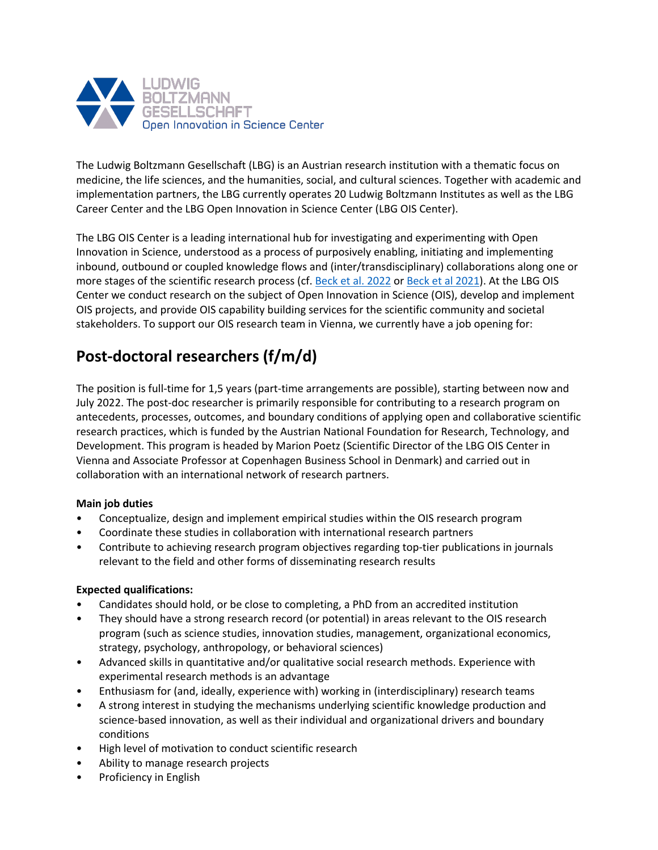

The Ludwig Boltzmann Gesellschaft (LBG) is an Austrian research institution with a thematic focus on medicine, the life sciences, and the humanities, social, and cultural sciences. Together with academic and implementation partners, the LBG currently operates 20 Ludwig Boltzmann Institutes as well as the LBG Career Center and the LBG Open Innovation in Science Center (LBG OIS Center).

The LBG OIS Center is a leading international hub for investigating and experimenting with Open Innovation in Science, understood as a process of purposively enabling, initiating and implementing inbound, outbound or coupled knowledge flows and (inter/transdisciplinary) collaborations along one or more stages of the scientific research process (cf. Beck et al. 2022 or Beck et al 2021). At the LBG OIS Center we conduct research on the subject of Open Innovation in Science (OIS), develop and implement OIS projects, and provide OIS capability building services for the scientific community and societal stakeholders. To support our OIS research team in Vienna, we currently have a job opening for:

# **Post-doctoral researchers (f/m/d)**

The position is full-time for 1,5 years (part-time arrangements are possible), starting between now and July 2022. The post-doc researcher is primarily responsible for contributing to a research program on antecedents, processes, outcomes, and boundary conditions of applying open and collaborative scientific research practices, which is funded by the Austrian National Foundation for Research, Technology, and Development. This program is headed by Marion Poetz (Scientific Director of the LBG OIS Center in Vienna and Associate Professor at Copenhagen Business School in Denmark) and carried out in collaboration with an international network of research partners.

## **Main job duties**

- Conceptualize, design and implement empirical studies within the OIS research program
- Coordinate these studies in collaboration with international research partners
- Contribute to achieving research program objectives regarding top-tier publications in journals relevant to the field and other forms of disseminating research results

## **Expected qualifications:**

- Candidates should hold, or be close to completing, a PhD from an accredited institution
- They should have a strong research record (or potential) in areas relevant to the OIS research program (such as science studies, innovation studies, management, organizational economics, strategy, psychology, anthropology, or behavioral sciences)
- Advanced skills in quantitative and/or qualitative social research methods. Experience with experimental research methods is an advantage
- Enthusiasm for (and, ideally, experience with) working in (interdisciplinary) research teams
- A strong interest in studying the mechanisms underlying scientific knowledge production and science-based innovation, as well as their individual and organizational drivers and boundary conditions
- High level of motivation to conduct scientific research
- Ability to manage research projects
- Proficiency in English